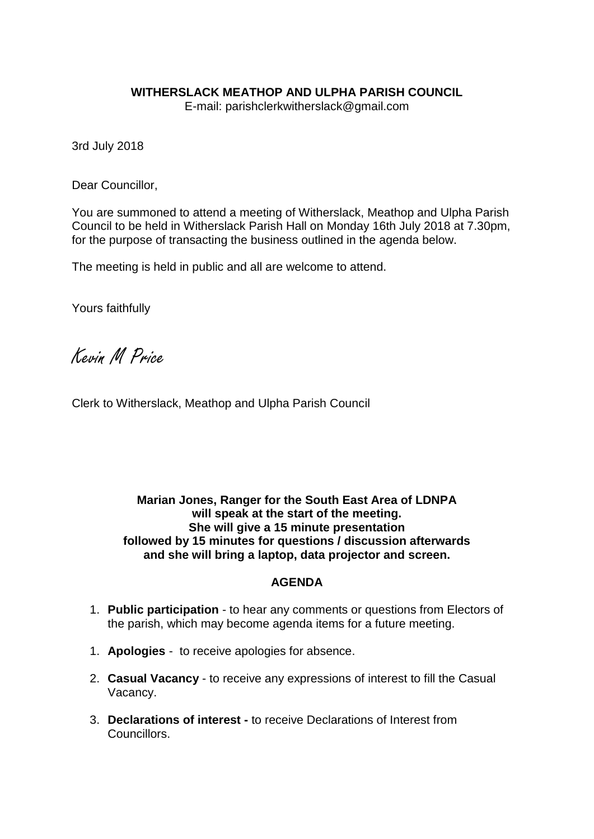# **WITHERSLACK MEATHOP AND ULPHA PARISH COUNCIL**

E-mail: parishclerkwitherslack@gmail.com

3rd July 2018

Dear Councillor,

You are summoned to attend a meeting of Witherslack, Meathop and Ulpha Parish Council to be held in Witherslack Parish Hall on Monday 16th July 2018 at 7.30pm, for the purpose of transacting the business outlined in the agenda below.

The meeting is held in public and all are welcome to attend.

Yours faithfully

Kevin M Price

Clerk to Witherslack, Meathop and Ulpha Parish Council

# **Marian Jones, Ranger for the South East Area of LDNPA will speak at the start of the meeting. She will give a 15 minute presentation followed by 15 minutes for questions / discussion afterwards and she will bring a laptop, data projector and screen.**

#### **AGENDA**

- 1. **Public participation** to hear any comments or questions from Electors of the parish, which may become agenda items for a future meeting.
- 1. **Apologies** to receive apologies for absence.
- 2. **Casual Vacancy**  to receive any expressions of interest to fill the Casual Vacancy.
- 3. **Declarations of interest -** to receive Declarations of Interest from Councillors.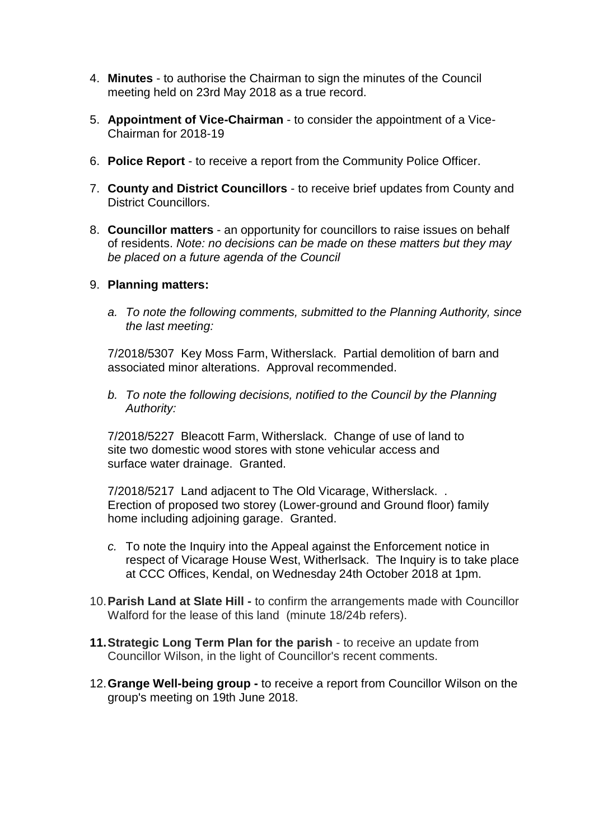- 4. **Minutes** to authorise the Chairman to sign the minutes of the Council meeting held on 23rd May 2018 as a true record.
- 5. **Appointment of Vice-Chairman** to consider the appointment of a Vice-Chairman for 2018-19
- 6. **Police Report** to receive a report from the Community Police Officer.
- 7. **County and District Councillors** to receive brief updates from County and District Councillors.
- 8. **Councillor matters** an opportunity for councillors to raise issues on behalf of residents. *Note: no decisions can be made on these matters but they may be placed on a future agenda of the Council*

# 9. **Planning matters:**

*a. To note the following comments, submitted to the Planning Authority, since the last meeting:*

7/2018/5307 Key Moss Farm, Witherslack. Partial demolition of barn and associated minor alterations. Approval recommended.

*b. To note the following decisions, notified to the Council by the Planning Authority:*

7/2018/5227 Bleacott Farm, Witherslack. Change of use of land to site two domestic wood stores with stone vehicular access and surface water drainage. Granted.

7/2018/5217 Land adjacent to The Old Vicarage, Witherslack. . Erection of proposed two storey (Lower-ground and Ground floor) family home including adjoining garage. Granted.

- *c.* To note the Inquiry into the Appeal against the Enforcement notice in respect of Vicarage House West, Witherlsack. The Inquiry is to take place at CCC Offices, Kendal, on Wednesday 24th October 2018 at 1pm.
- 10.**Parish Land at Slate Hill -** to confirm the arrangements made with Councillor Walford for the lease of this land (minute 18/24b refers).
- **11.Strategic Long Term Plan for the parish** to receive an update from Councillor Wilson, in the light of Councillor's recent comments.
- 12.**Grange Well-being group -** to receive a report from Councillor Wilson on the group's meeting on 19th June 2018.